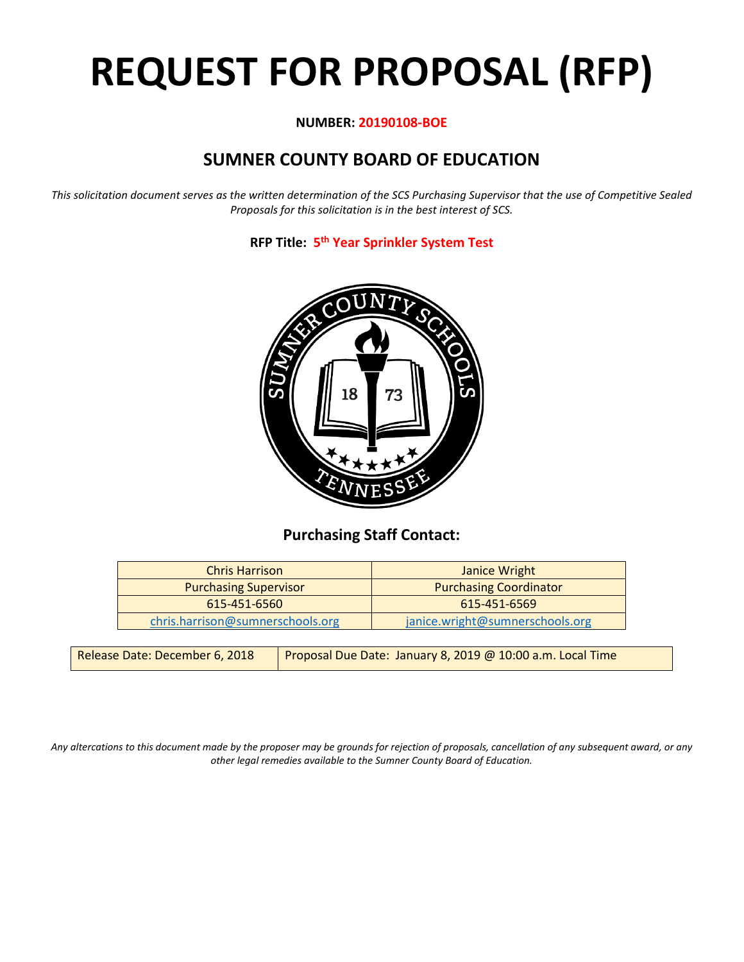# **REQUEST FOR PROPOSAL (RFP)**

# **NUMBER: 20190108-BOE**

# **SUMNER COUNTY BOARD OF EDUCATION**

*This solicitation document serves as the written determination of the SCS Purchasing Supervisor that the use of Competitive Sealed Proposals for this solicitation is in the best interest of SCS.*

**RFP Title: 5th Year Sprinkler System Test**



# **Purchasing Staff Contact:**

| <b>Chris Harrison</b>            | Janice Wright                   |
|----------------------------------|---------------------------------|
| <b>Purchasing Supervisor</b>     | <b>Purchasing Coordinator</b>   |
| 615-451-6560                     | $615 - 451 - 6569$              |
| chris.harrison@sumnerschools.org | janice.wright@sumnerschools.org |

| Release Date: December 6, 2018 | Proposal Due Date: January 8, 2019 @ 10:00 a.m. Local Time |
|--------------------------------|------------------------------------------------------------|
|--------------------------------|------------------------------------------------------------|

*Any altercations to this document made by the proposer may be grounds for rejection of proposals, cancellation of any subsequent award, or any other legal remedies available to the Sumner County Board of Education.*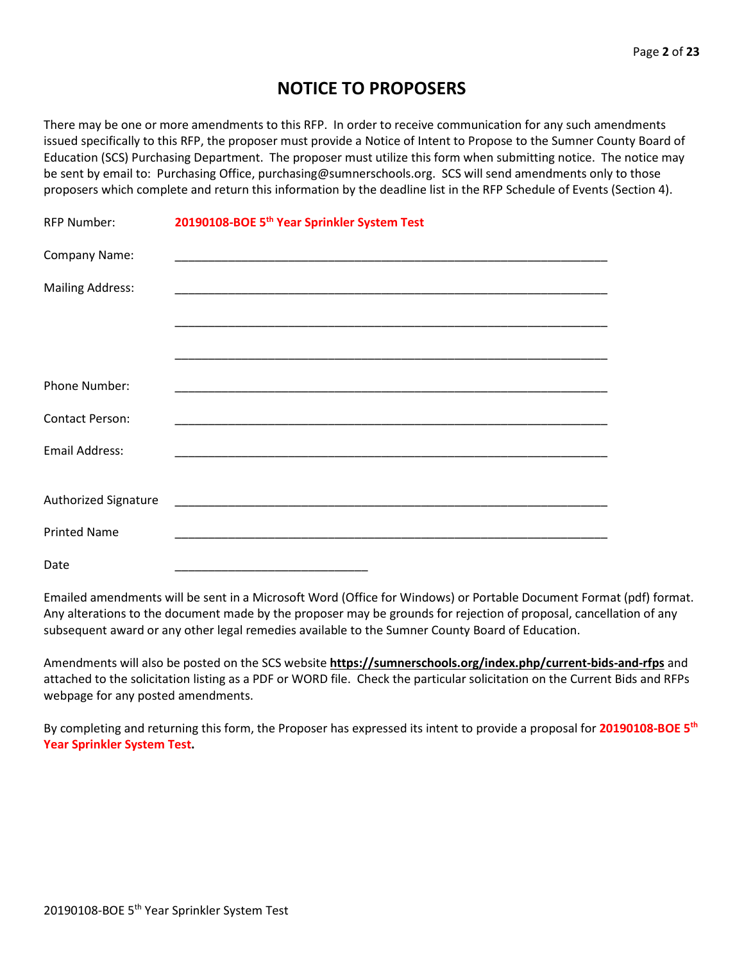# **NOTICE TO PROPOSERS**

There may be one or more amendments to this RFP. In order to receive communication for any such amendments issued specifically to this RFP, the proposer must provide a Notice of Intent to Propose to the Sumner County Board of Education (SCS) Purchasing Department. The proposer must utilize this form when submitting notice. The notice may be sent by email to: Purchasing Office, purchasing@sumnerschools.org. SCS will send amendments only to those proposers which complete and return this information by the deadline list in the RFP Schedule of Events (Section 4).

| <b>RFP Number:</b>      | 20190108-BOE 5 <sup>th</sup> Year Sprinkler System Test |
|-------------------------|---------------------------------------------------------|
| Company Name:           |                                                         |
| <b>Mailing Address:</b> |                                                         |
|                         |                                                         |
|                         |                                                         |
| Phone Number:           |                                                         |
| <b>Contact Person:</b>  |                                                         |
| Email Address:          |                                                         |
| Authorized Signature    |                                                         |
|                         |                                                         |
| <b>Printed Name</b>     |                                                         |
| Date                    |                                                         |

Emailed amendments will be sent in a Microsoft Word (Office for Windows) or Portable Document Format (pdf) format. Any alterations to the document made by the proposer may be grounds for rejection of proposal, cancellation of any subsequent award or any other legal remedies available to the Sumner County Board of Education.

Amendments will also be posted on the SCS website **https://sumnerschools.org/index.php/current-bids-and-rfps** and attached to the solicitation listing as a PDF or WORD file. Check the particular solicitation on the Current Bids and RFPs webpage for any posted amendments.

By completing and returning this form, the Proposer has expressed its intent to provide a proposal for **20190108-BOE 5th Year Sprinkler System Test.**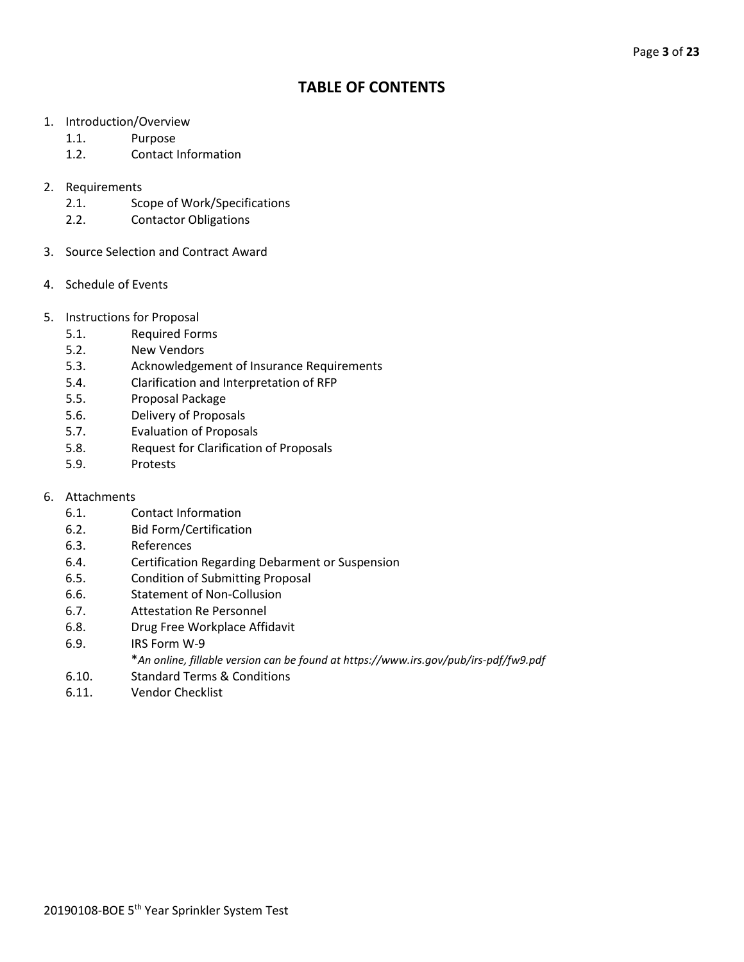# **TABLE OF CONTENTS**

- 1. Introduction/Overview
	- 1.1. Purpose
	- 1.2. Contact Information
- 2. Requirements
	- 2.1. Scope of Work/Specifications
	- 2.2. Contactor Obligations
- 3. Source Selection and Contract Award
- 4. Schedule of Events
- 5. Instructions for Proposal
	- 5.1. Required Forms
	- 5.2. New Vendors
	- 5.3. Acknowledgement of Insurance Requirements
	- 5.4. Clarification and Interpretation of RFP
	- 5.5. Proposal Package
	- 5.6. Delivery of Proposals
	- 5.7. Evaluation of Proposals
	- 5.8. Request for Clarification of Proposals
	- 5.9. Protests
- 6. Attachments
	- 6.1. Contact Information
	- 6.2. Bid Form/Certification
	- 6.3. References
	- 6.4. Certification Regarding Debarment or Suspension
	- 6.5. Condition of Submitting Proposal
	- 6.6. Statement of Non-Collusion
	- 6.7. Attestation Re Personnel
	- 6.8. Drug Free Workplace Affidavit
	- 6.9. IRS Form W-9
		- \**An online, fillable version can be found at https://www.irs.gov/pub/irs-pdf/fw9.pdf*
	- 6.10. Standard Terms & Conditions
	- 6.11. Vendor Checklist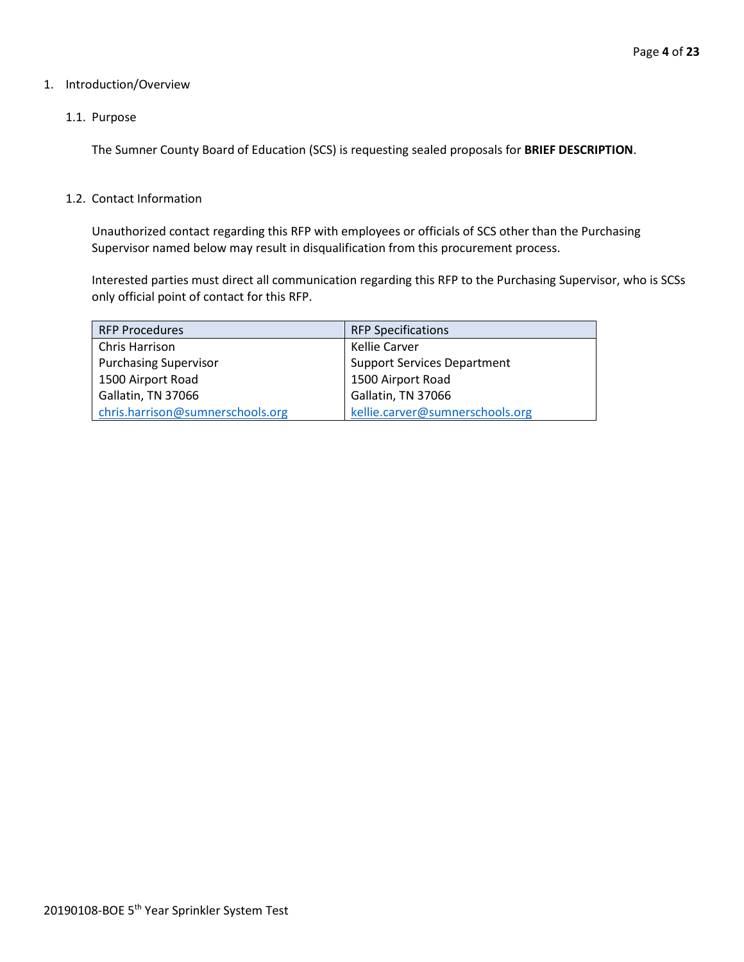#### 1. Introduction/Overview

#### 1.1. Purpose

The Sumner County Board of Education (SCS) is requesting sealed proposals for **BRIEF DESCRIPTION**.

#### 1.2. Contact Information

Unauthorized contact regarding this RFP with employees or officials of SCS other than the Purchasing Supervisor named below may result in disqualification from this procurement process.

Interested parties must direct all communication regarding this RFP to the Purchasing Supervisor, who is SCSs only official point of contact for this RFP.

| <b>RFP Procedures</b>            | <b>RFP Specifications</b>          |
|----------------------------------|------------------------------------|
| Chris Harrison                   | Kellie Carver                      |
| <b>Purchasing Supervisor</b>     | <b>Support Services Department</b> |
| 1500 Airport Road                | 1500 Airport Road                  |
| Gallatin, TN 37066               | Gallatin, TN 37066                 |
| chris.harrison@sumnerschools.org | kellie.carver@sumnerschools.org    |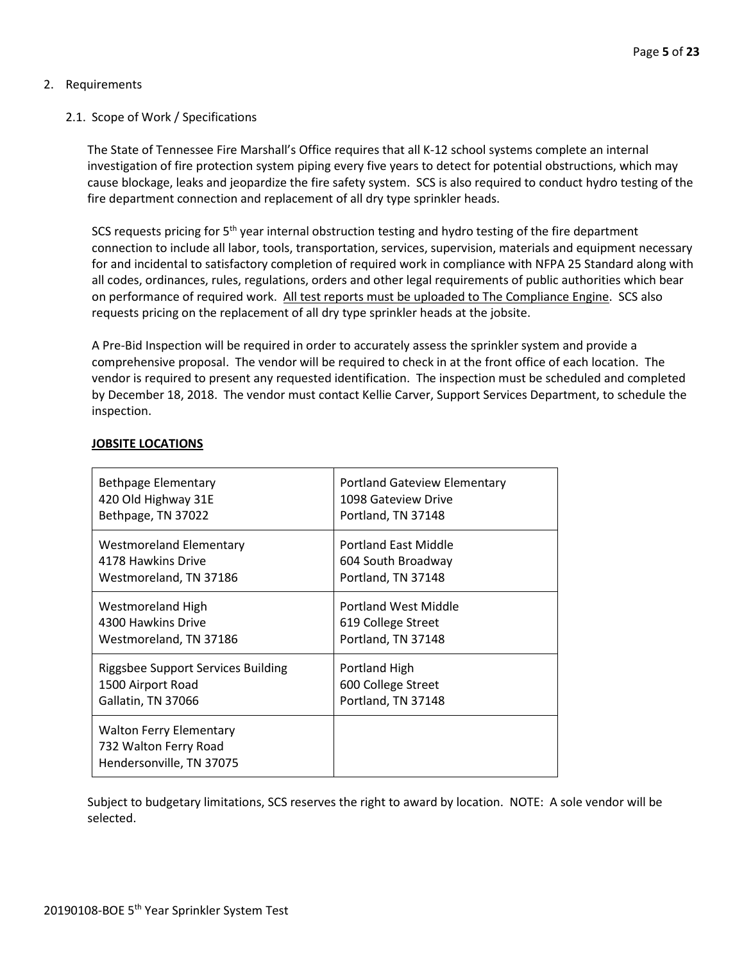## 2. Requirements

### 2.1. Scope of Work / Specifications

The State of Tennessee Fire Marshall's Office requires that all K-12 school systems complete an internal investigation of fire protection system piping every five years to detect for potential obstructions, which may cause blockage, leaks and jeopardize the fire safety system. SCS is also required to conduct hydro testing of the fire department connection and replacement of all dry type sprinkler heads.

SCS requests pricing for 5<sup>th</sup> year internal obstruction testing and hydro testing of the fire department connection to include all labor, tools, transportation, services, supervision, materials and equipment necessary for and incidental to satisfactory completion of required work in compliance with NFPA 25 Standard along with all codes, ordinances, rules, regulations, orders and other legal requirements of public authorities which bear on performance of required work. All test reports must be uploaded to The Compliance Engine. SCS also requests pricing on the replacement of all dry type sprinkler heads at the jobsite.

A Pre-Bid Inspection will be required in order to accurately assess the sprinkler system and provide a comprehensive proposal. The vendor will be required to check in at the front office of each location. The vendor is required to present any requested identification. The inspection must be scheduled and completed by December 18, 2018. The vendor must contact Kellie Carver, Support Services Department, to schedule the inspection.

| Bethpage Elementary                                                                 | <b>Portland Gateview Elementary</b> |
|-------------------------------------------------------------------------------------|-------------------------------------|
| 420 Old Highway 31E                                                                 | 1098 Gateview Drive                 |
| Bethpage, TN 37022                                                                  | Portland, TN 37148                  |
| <b>Westmoreland Elementary</b>                                                      | <b>Portland East Middle</b>         |
| 4178 Hawkins Drive                                                                  | 604 South Broadway                  |
| Westmoreland, TN 37186                                                              | Portland, TN 37148                  |
| Westmoreland High                                                                   | Portland West Middle                |
| 4300 Hawkins Drive                                                                  | 619 College Street                  |
| Westmoreland, TN 37186                                                              | Portland, TN 37148                  |
| Riggsbee Support Services Building                                                  | Portland High                       |
| 1500 Airport Road                                                                   | 600 College Street                  |
| Gallatin, TN 37066                                                                  | Portland, TN 37148                  |
| <b>Walton Ferry Elementary</b><br>732 Walton Ferry Road<br>Hendersonville, TN 37075 |                                     |

## **JOBSITE LOCATIONS**

Subject to budgetary limitations, SCS reserves the right to award by location. NOTE: A sole vendor will be selected.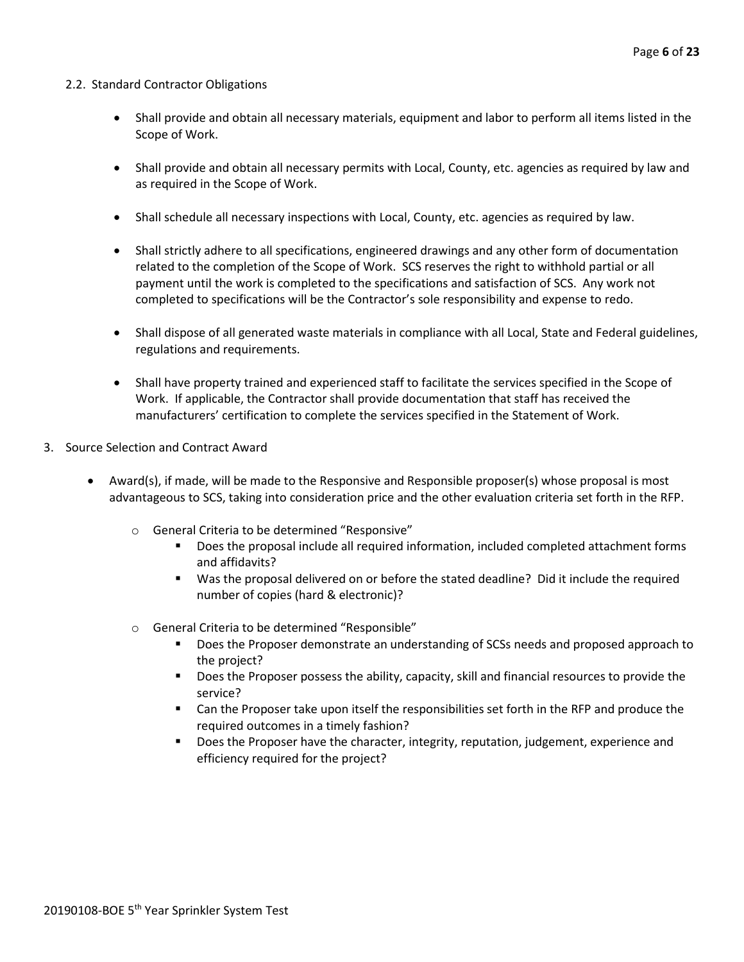#### 2.2. Standard Contractor Obligations

- Shall provide and obtain all necessary materials, equipment and labor to perform all items listed in the Scope of Work.
- Shall provide and obtain all necessary permits with Local, County, etc. agencies as required by law and as required in the Scope of Work.
- Shall schedule all necessary inspections with Local, County, etc. agencies as required by law.
- Shall strictly adhere to all specifications, engineered drawings and any other form of documentation related to the completion of the Scope of Work. SCS reserves the right to withhold partial or all payment until the work is completed to the specifications and satisfaction of SCS. Any work not completed to specifications will be the Contractor's sole responsibility and expense to redo.
- Shall dispose of all generated waste materials in compliance with all Local, State and Federal guidelines, regulations and requirements.
- Shall have property trained and experienced staff to facilitate the services specified in the Scope of Work. If applicable, the Contractor shall provide documentation that staff has received the manufacturers' certification to complete the services specified in the Statement of Work.
- 3. Source Selection and Contract Award
	- Award(s), if made, will be made to the Responsive and Responsible proposer(s) whose proposal is most advantageous to SCS, taking into consideration price and the other evaluation criteria set forth in the RFP.
		- o General Criteria to be determined "Responsive"
			- **Does the proposal include all required information, included completed attachment forms** and affidavits?
			- Was the proposal delivered on or before the stated deadline? Did it include the required number of copies (hard & electronic)?
		- o General Criteria to be determined "Responsible"
			- Does the Proposer demonstrate an understanding of SCSs needs and proposed approach to the project?
			- **Does the Proposer possess the ability, capacity, skill and financial resources to provide the** service?
			- Can the Proposer take upon itself the responsibilities set forth in the RFP and produce the required outcomes in a timely fashion?
			- **Does the Proposer have the character, integrity, reputation, judgement, experience and** efficiency required for the project?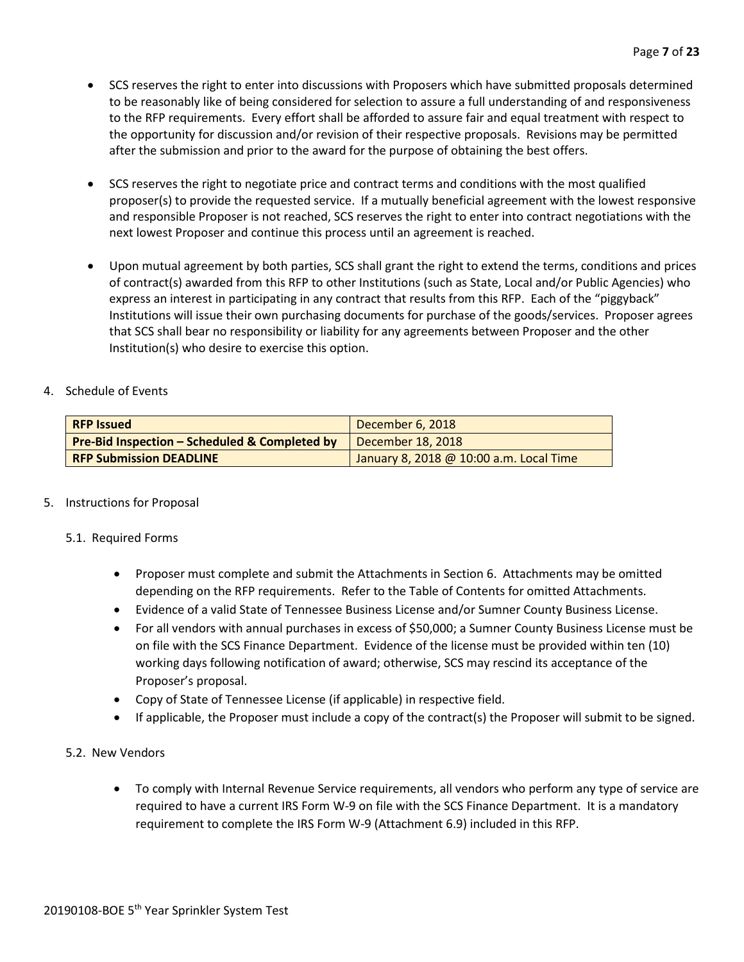- SCS reserves the right to enter into discussions with Proposers which have submitted proposals determined to be reasonably like of being considered for selection to assure a full understanding of and responsiveness to the RFP requirements. Every effort shall be afforded to assure fair and equal treatment with respect to the opportunity for discussion and/or revision of their respective proposals. Revisions may be permitted after the submission and prior to the award for the purpose of obtaining the best offers.
- SCS reserves the right to negotiate price and contract terms and conditions with the most qualified proposer(s) to provide the requested service. If a mutually beneficial agreement with the lowest responsive and responsible Proposer is not reached, SCS reserves the right to enter into contract negotiations with the next lowest Proposer and continue this process until an agreement is reached.
- Upon mutual agreement by both parties, SCS shall grant the right to extend the terms, conditions and prices of contract(s) awarded from this RFP to other Institutions (such as State, Local and/or Public Agencies) who express an interest in participating in any contract that results from this RFP. Each of the "piggyback" Institutions will issue their own purchasing documents for purchase of the goods/services. Proposer agrees that SCS shall bear no responsibility or liability for any agreements between Proposer and the other Institution(s) who desire to exercise this option.

## 4. Schedule of Events

| <b>RFP Issued</b>                                        | December 6, 2018                        |
|----------------------------------------------------------|-----------------------------------------|
| <b>Pre-Bid Inspection - Scheduled &amp; Completed by</b> | December 18, 2018                       |
| <b>RFP Submission DEADLINE</b>                           | January 8, 2018 @ 10:00 a.m. Local Time |

#### 5. Instructions for Proposal

#### 5.1. Required Forms

- Proposer must complete and submit the Attachments in Section 6. Attachments may be omitted depending on the RFP requirements. Refer to the Table of Contents for omitted Attachments.
- Evidence of a valid State of Tennessee Business License and/or Sumner County Business License.
- For all vendors with annual purchases in excess of \$50,000; a Sumner County Business License must be on file with the SCS Finance Department. Evidence of the license must be provided within ten (10) working days following notification of award; otherwise, SCS may rescind its acceptance of the Proposer's proposal.
- Copy of State of Tennessee License (if applicable) in respective field.
- If applicable, the Proposer must include a copy of the contract(s) the Proposer will submit to be signed.

#### 5.2. New Vendors

• To comply with Internal Revenue Service requirements, all vendors who perform any type of service are required to have a current IRS Form W-9 on file with the SCS Finance Department. It is a mandatory requirement to complete the IRS Form W-9 (Attachment 6.9) included in this RFP.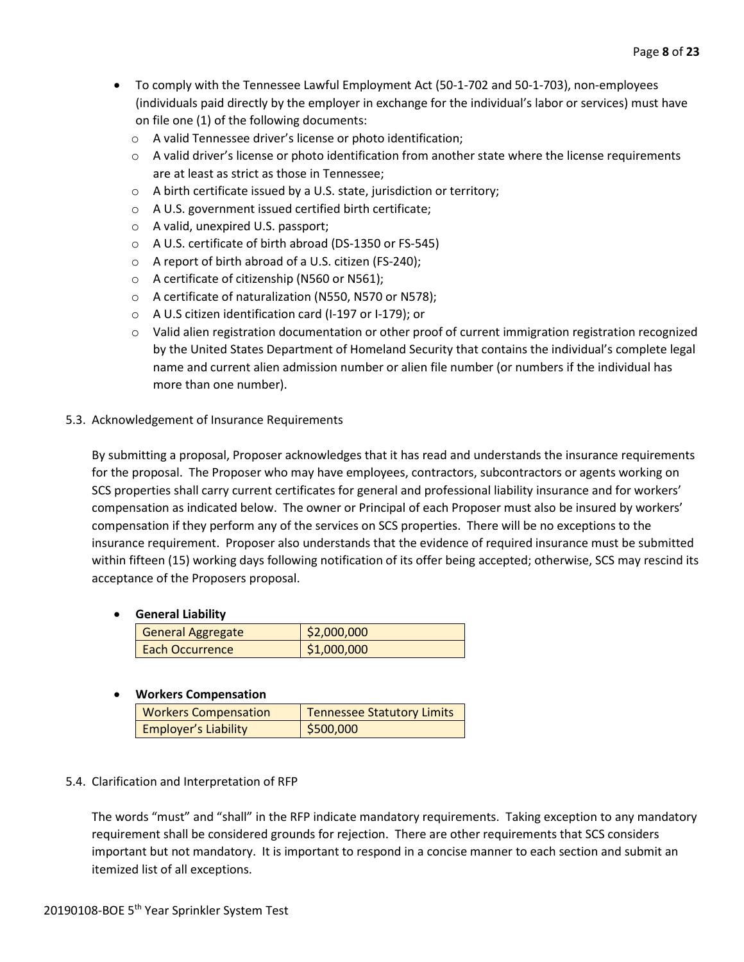- To comply with the Tennessee Lawful Employment Act (50-1-702 and 50-1-703), non-employees (individuals paid directly by the employer in exchange for the individual's labor or services) must have on file one (1) of the following documents:
	- o A valid Tennessee driver's license or photo identification;
	- $\circ$  A valid driver's license or photo identification from another state where the license requirements are at least as strict as those in Tennessee;
	- o A birth certificate issued by a U.S. state, jurisdiction or territory;
	- o A U.S. government issued certified birth certificate;
	- o A valid, unexpired U.S. passport;
	- o A U.S. certificate of birth abroad (DS-1350 or FS-545)
	- o A report of birth abroad of a U.S. citizen (FS-240);
	- o A certificate of citizenship (N560 or N561);
	- o A certificate of naturalization (N550, N570 or N578);
	- o A U.S citizen identification card (I-197 or I-179); or
	- o Valid alien registration documentation or other proof of current immigration registration recognized by the United States Department of Homeland Security that contains the individual's complete legal name and current alien admission number or alien file number (or numbers if the individual has more than one number).

# 5.3. Acknowledgement of Insurance Requirements

By submitting a proposal, Proposer acknowledges that it has read and understands the insurance requirements for the proposal. The Proposer who may have employees, contractors, subcontractors or agents working on SCS properties shall carry current certificates for general and professional liability insurance and for workers' compensation as indicated below. The owner or Principal of each Proposer must also be insured by workers' compensation if they perform any of the services on SCS properties. There will be no exceptions to the insurance requirement. Proposer also understands that the evidence of required insurance must be submitted within fifteen (15) working days following notification of its offer being accepted; otherwise, SCS may rescind its acceptance of the Proposers proposal.

# • **General Liability**

| <b>General Aggregate</b> | \$2,000,000 |
|--------------------------|-------------|
| <b>Each Occurrence</b>   | \$1,000,000 |
|                          |             |

# • **Workers Compensation**

| <b>Workers Compensation</b> | <b>Tennessee Statutory Limits</b> |
|-----------------------------|-----------------------------------|
| <b>Employer's Liability</b> | \$500,000                         |

# 5.4. Clarification and Interpretation of RFP

The words "must" and "shall" in the RFP indicate mandatory requirements. Taking exception to any mandatory requirement shall be considered grounds for rejection. There are other requirements that SCS considers important but not mandatory. It is important to respond in a concise manner to each section and submit an itemized list of all exceptions.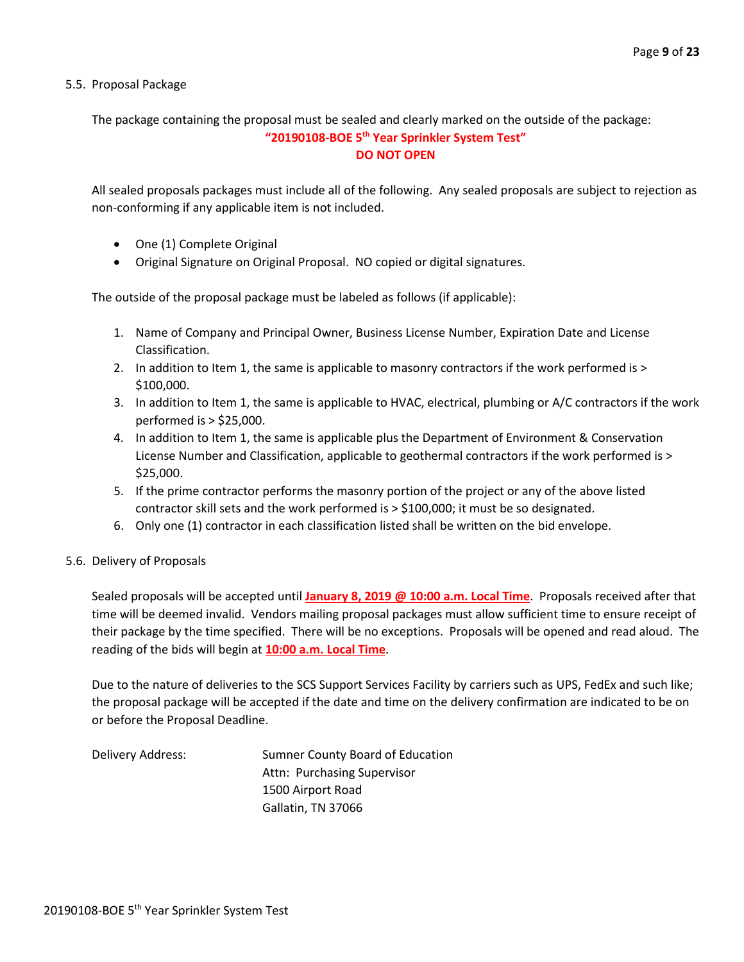5.5. Proposal Package

The package containing the proposal must be sealed and clearly marked on the outside of the package:

#### **"20190108-BOE 5th Year Sprinkler System Test" DO NOT OPEN**

All sealed proposals packages must include all of the following. Any sealed proposals are subject to rejection as non-conforming if any applicable item is not included.

- One (1) Complete Original
- Original Signature on Original Proposal. NO copied or digital signatures.

The outside of the proposal package must be labeled as follows (if applicable):

- 1. Name of Company and Principal Owner, Business License Number, Expiration Date and License Classification.
- 2. In addition to Item 1, the same is applicable to masonry contractors if the work performed is > \$100,000.
- 3. In addition to Item 1, the same is applicable to HVAC, electrical, plumbing or A/C contractors if the work performed is > \$25,000.
- 4. In addition to Item 1, the same is applicable plus the Department of Environment & Conservation License Number and Classification, applicable to geothermal contractors if the work performed is > \$25,000.
- 5. If the prime contractor performs the masonry portion of the project or any of the above listed contractor skill sets and the work performed is > \$100,000; it must be so designated.
- 6. Only one (1) contractor in each classification listed shall be written on the bid envelope.
- 5.6. Delivery of Proposals

Sealed proposals will be accepted until **January 8, 2019 @ 10:00 a.m. Local Time**. Proposals received after that time will be deemed invalid. Vendors mailing proposal packages must allow sufficient time to ensure receipt of their package by the time specified. There will be no exceptions. Proposals will be opened and read aloud. The reading of the bids will begin at **10:00 a.m. Local Time**.

Due to the nature of deliveries to the SCS Support Services Facility by carriers such as UPS, FedEx and such like; the proposal package will be accepted if the date and time on the delivery confirmation are indicated to be on or before the Proposal Deadline.

Delivery Address: Sumner County Board of Education Attn: Purchasing Supervisor 1500 Airport Road Gallatin, TN 37066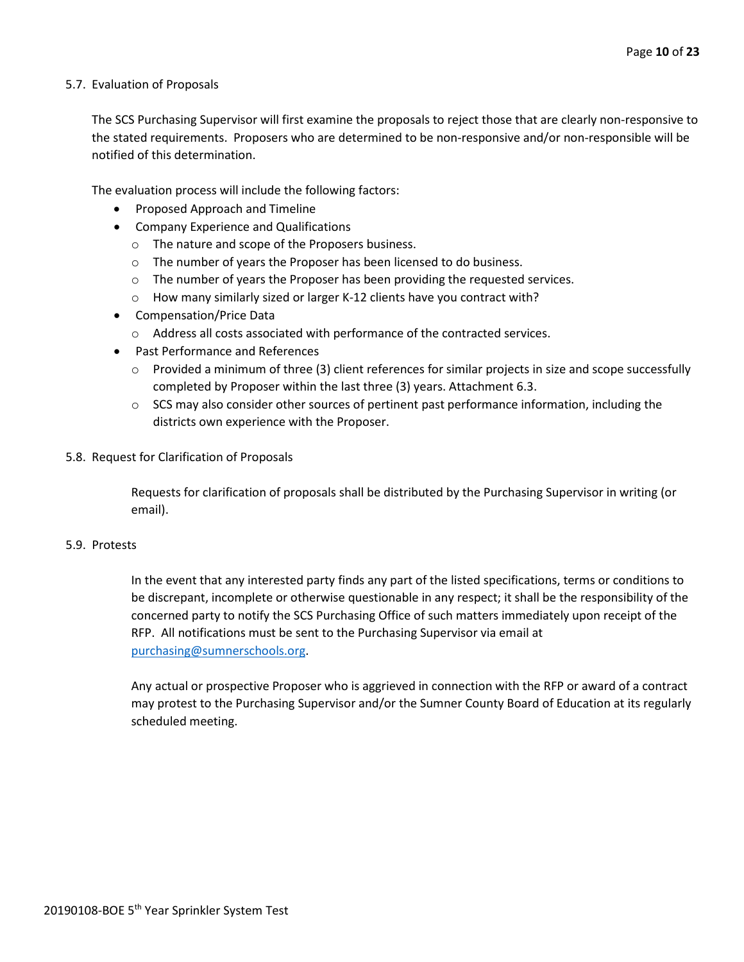#### 5.7. Evaluation of Proposals

The SCS Purchasing Supervisor will first examine the proposals to reject those that are clearly non-responsive to the stated requirements. Proposers who are determined to be non-responsive and/or non-responsible will be notified of this determination.

The evaluation process will include the following factors:

- Proposed Approach and Timeline
- Company Experience and Qualifications
	- o The nature and scope of the Proposers business.
	- o The number of years the Proposer has been licensed to do business.
	- o The number of years the Proposer has been providing the requested services.
	- o How many similarly sized or larger K-12 clients have you contract with?
- Compensation/Price Data
	- o Address all costs associated with performance of the contracted services.
- Past Performance and References
	- $\circ$  Provided a minimum of three (3) client references for similar projects in size and scope successfully completed by Proposer within the last three (3) years. Attachment 6.3.
	- $\circ$  SCS may also consider other sources of pertinent past performance information, including the districts own experience with the Proposer.
- 5.8. Request for Clarification of Proposals

Requests for clarification of proposals shall be distributed by the Purchasing Supervisor in writing (or email).

#### 5.9. Protests

In the event that any interested party finds any part of the listed specifications, terms or conditions to be discrepant, incomplete or otherwise questionable in any respect; it shall be the responsibility of the concerned party to notify the SCS Purchasing Office of such matters immediately upon receipt of the RFP. All notifications must be sent to the Purchasing Supervisor via email at [purchasing@sumnerschools.org.](mailto:purchasing@sumnerschools.org)

Any actual or prospective Proposer who is aggrieved in connection with the RFP or award of a contract may protest to the Purchasing Supervisor and/or the Sumner County Board of Education at its regularly scheduled meeting.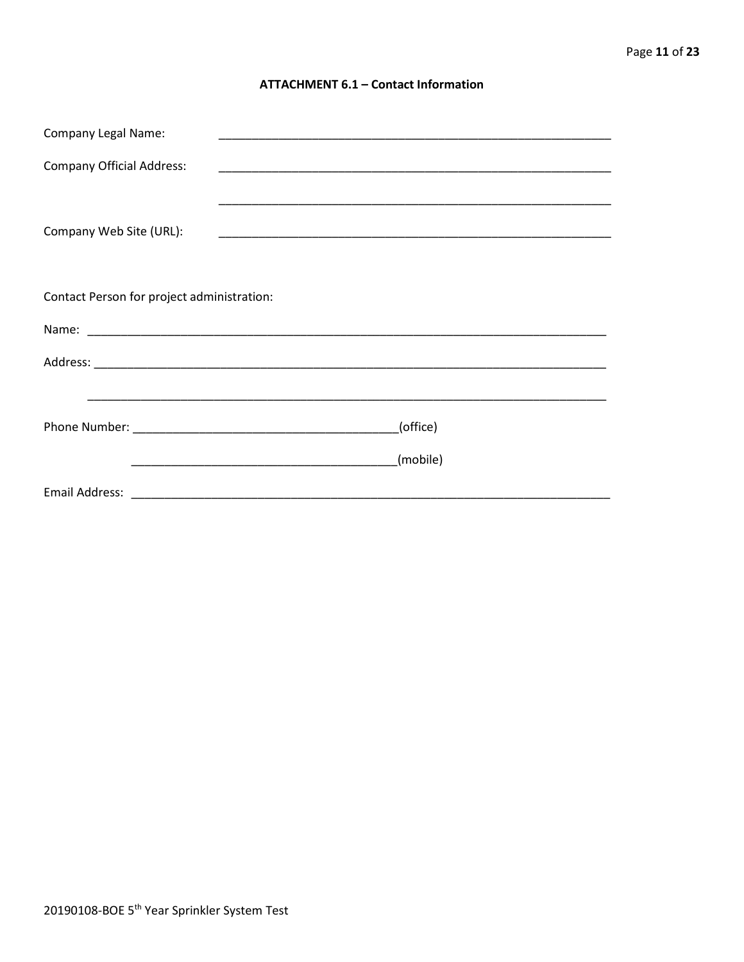#### **ATTACHMENT 6.1 - Contact Information**

| <b>Company Legal Name:</b>                 |          |
|--------------------------------------------|----------|
| <b>Company Official Address:</b>           |          |
|                                            |          |
| Company Web Site (URL):                    |          |
|                                            |          |
| Contact Person for project administration: |          |
|                                            |          |
|                                            |          |
|                                            |          |
|                                            |          |
|                                            | (office) |
|                                            | (mobile) |
|                                            |          |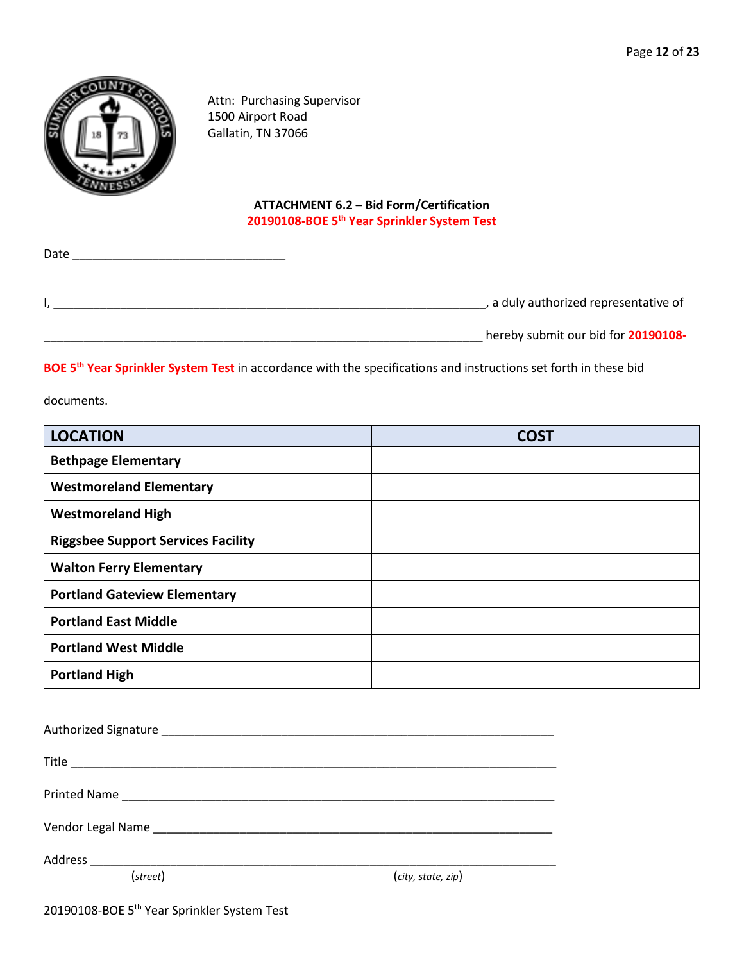

Attn: Purchasing Supervisor 1500 Airport Road Gallatin, TN 37066

# **ATTACHMENT 6.2 – Bid Form/Certification 20190108-BOE 5th Year Sprinkler System Test**

| Date |                                       |
|------|---------------------------------------|
|      |                                       |
|      | , a duly authorized representative of |
|      | hereby submit our bid for 20190108-   |

**BOE 5th Year Sprinkler System Test** in accordance with the specifications and instructions set forth in these bid

documents.

| <b>LOCATION</b>                           | COS <sup>-</sup> |
|-------------------------------------------|------------------|
| <b>Bethpage Elementary</b>                |                  |
| <b>Westmoreland Elementary</b>            |                  |
| <b>Westmoreland High</b>                  |                  |
| <b>Riggsbee Support Services Facility</b> |                  |
| <b>Walton Ferry Elementary</b>            |                  |
| <b>Portland Gateview Elementary</b>       |                  |
| <b>Portland East Middle</b>               |                  |
| <b>Portland West Middle</b>               |                  |
| <b>Portland High</b>                      |                  |

| (street) | (city, state, zip) |
|----------|--------------------|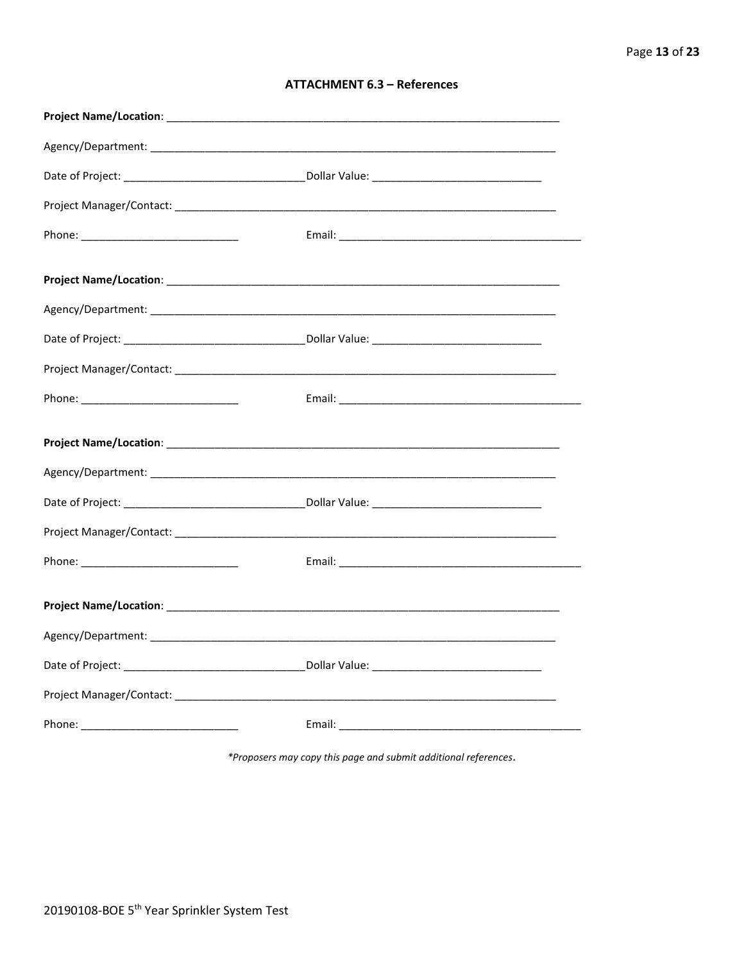| <b>ATTACHMENT 6.3 - References</b> |  |  |
|------------------------------------|--|--|
|------------------------------------|--|--|

\*Proposers may copy this page and submit additional references.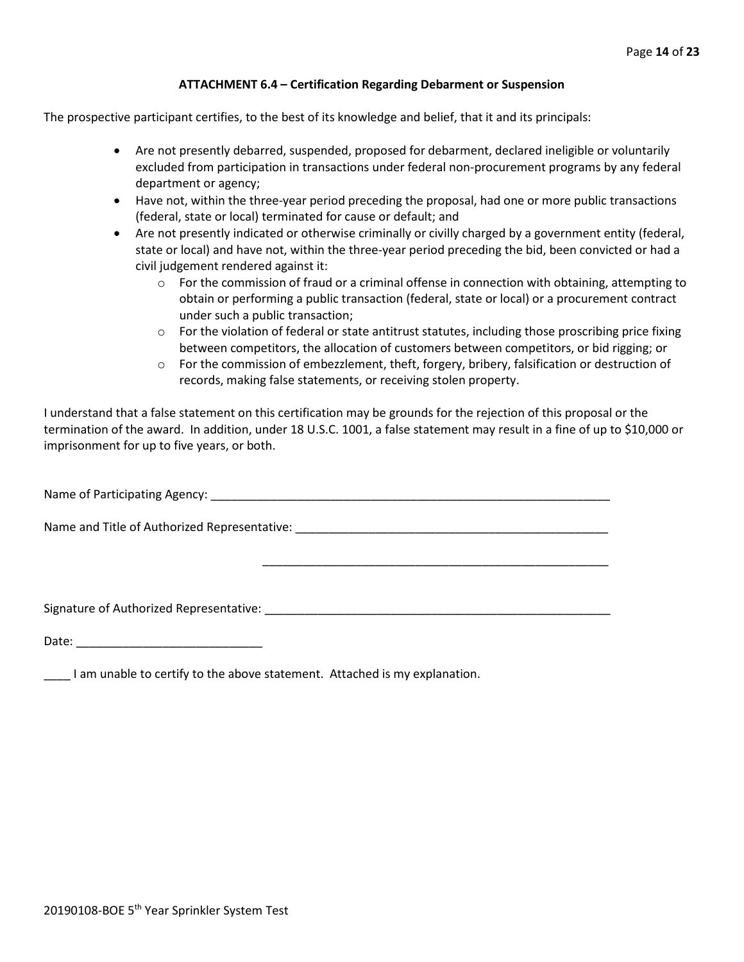#### **ATTACHMENT 6.4 – Certification Regarding Debarment or Suspension**

The prospective participant certifies, to the best of its knowledge and belief, that it and its principals:

- Are not presently debarred, suspended, proposed for debarment, declared ineligible or voluntarily excluded from participation in transactions under federal non-procurement programs by any federal department or agency;
- Have not, within the three-year period preceding the proposal, had one or more public transactions (federal, state or local) terminated for cause or default; and
- Are not presently indicated or otherwise criminally or civilly charged by a government entity (federal, state or local) and have not, within the three-year period preceding the bid, been convicted or had a civil judgement rendered against it:
	- $\circ$  For the commission of fraud or a criminal offense in connection with obtaining, attempting to obtain or performing a public transaction (federal, state or local) or a procurement contract under such a public transaction;
	- $\circ$  For the violation of federal or state antitrust statutes, including those proscribing price fixing between competitors, the allocation of customers between competitors, or bid rigging; or
	- $\circ$  For the commission of embezzlement, theft, forgery, bribery, falsification or destruction of records, making false statements, or receiving stolen property.

\_\_\_\_\_\_\_\_\_\_\_\_\_\_\_\_\_\_\_\_\_\_\_\_\_\_\_\_\_\_\_\_\_\_\_\_\_\_\_\_\_\_\_\_\_\_\_\_\_\_\_\_

I understand that a false statement on this certification may be grounds for the rejection of this proposal or the termination of the award. In addition, under 18 U.S.C. 1001, a false statement may result in a fine of up to \$10,000 or imprisonment for up to five years, or both.

Name of Participating Agency: \_\_\_\_\_\_\_\_\_\_\_\_\_\_\_\_\_\_\_\_\_\_\_\_\_\_\_\_\_\_\_\_\_\_\_\_\_\_\_\_\_\_\_\_\_\_\_\_\_\_\_\_\_\_\_\_\_\_\_\_

Name and Title of Authorized Representative: \_\_\_\_\_\_\_\_\_\_\_\_\_\_\_\_\_\_\_\_\_\_\_\_\_\_\_\_\_\_\_\_\_\_\_\_\_\_\_\_\_\_\_\_\_\_\_

Signature of Authorized Representative: \_\_\_\_\_\_\_\_\_\_\_\_\_\_\_\_\_\_\_\_\_\_\_\_\_\_\_\_\_\_\_\_\_\_\_\_\_\_\_\_\_\_\_\_\_\_\_\_\_\_\_\_

Date: \_\_\_\_\_\_\_\_\_\_\_\_\_\_\_\_\_\_\_\_\_\_\_\_\_\_\_\_

\_\_\_\_ I am unable to certify to the above statement. Attached is my explanation.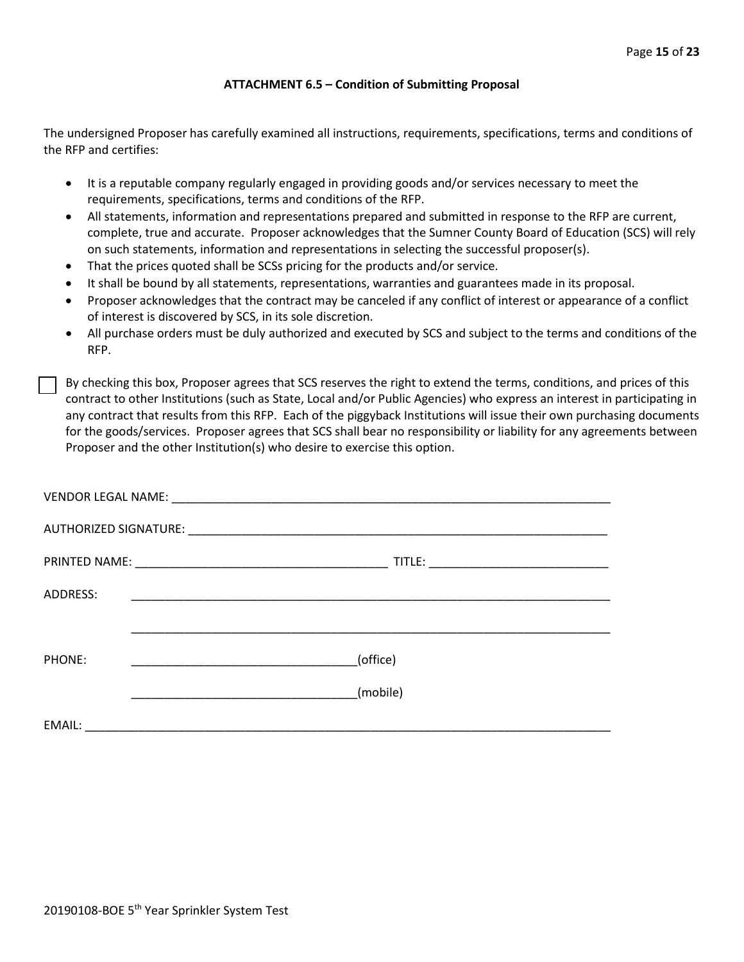#### **ATTACHMENT 6.5 – Condition of Submitting Proposal**

The undersigned Proposer has carefully examined all instructions, requirements, specifications, terms and conditions of the RFP and certifies:

- It is a reputable company regularly engaged in providing goods and/or services necessary to meet the requirements, specifications, terms and conditions of the RFP.
- All statements, information and representations prepared and submitted in response to the RFP are current, complete, true and accurate. Proposer acknowledges that the Sumner County Board of Education (SCS) will rely on such statements, information and representations in selecting the successful proposer(s).
- That the prices quoted shall be SCSs pricing for the products and/or service.
- It shall be bound by all statements, representations, warranties and guarantees made in its proposal.
- Proposer acknowledges that the contract may be canceled if any conflict of interest or appearance of a conflict of interest is discovered by SCS, in its sole discretion.
- All purchase orders must be duly authorized and executed by SCS and subject to the terms and conditions of the RFP.

By checking this box, Proposer agrees that SCS reserves the right to extend the terms, conditions, and prices of this contract to other Institutions (such as State, Local and/or Public Agencies) who express an interest in participating in any contract that results from this RFP. Each of the piggyback Institutions will issue their own purchasing documents for the goods/services. Proposer agrees that SCS shall bear no responsibility or liability for any agreements between Proposer and the other Institution(s) who desire to exercise this option.

| ADDRESS: | <u> 1989 - Johann Stoff, amerikansk politiker (d. 1989)</u>                                                          |
|----------|----------------------------------------------------------------------------------------------------------------------|
|          |                                                                                                                      |
| PHONE:   | (office)                                                                                                             |
|          | (mobile)                                                                                                             |
| EMAIL:   | <u> 2000 - 2000 - 2000 - 2000 - 2000 - 2000 - 2000 - 2000 - 2000 - 2000 - 2000 - 2000 - 2000 - 2000 - 2000 - 200</u> |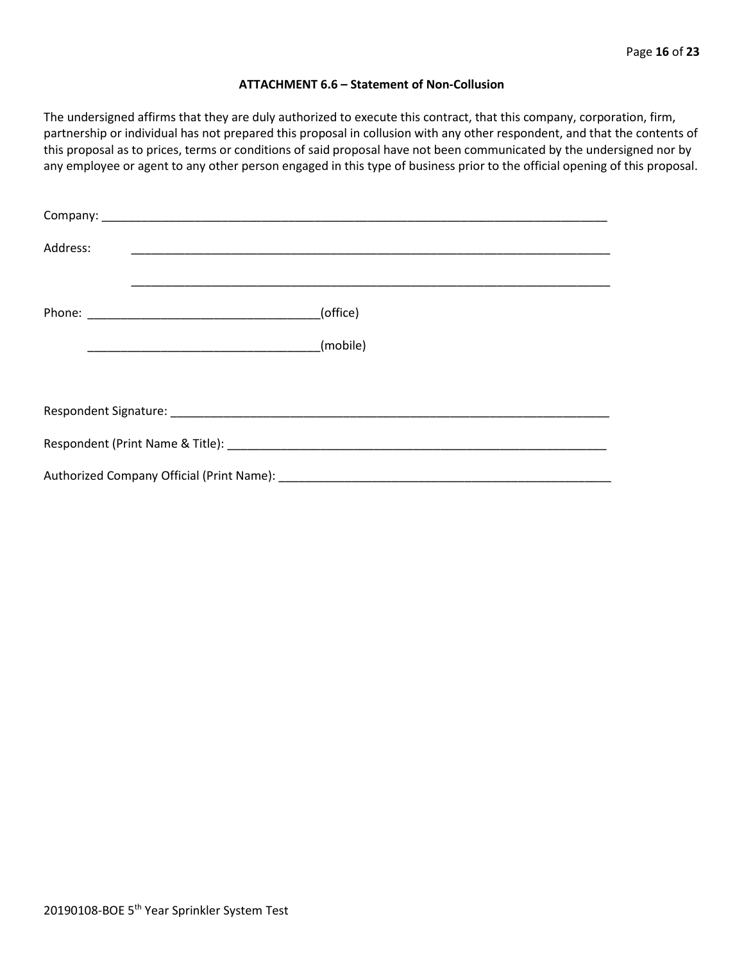#### **ATTACHMENT 6.6 – Statement of Non-Collusion**

The undersigned affirms that they are duly authorized to execute this contract, that this company, corporation, firm, partnership or individual has not prepared this proposal in collusion with any other respondent, and that the contents of this proposal as to prices, terms or conditions of said proposal have not been communicated by the undersigned nor by any employee or agent to any other person engaged in this type of business prior to the official opening of this proposal.

| Address: |          |  |  |  |
|----------|----------|--|--|--|
|          | (office) |  |  |  |
|          | (mobile) |  |  |  |
|          |          |  |  |  |
|          |          |  |  |  |
|          |          |  |  |  |
|          |          |  |  |  |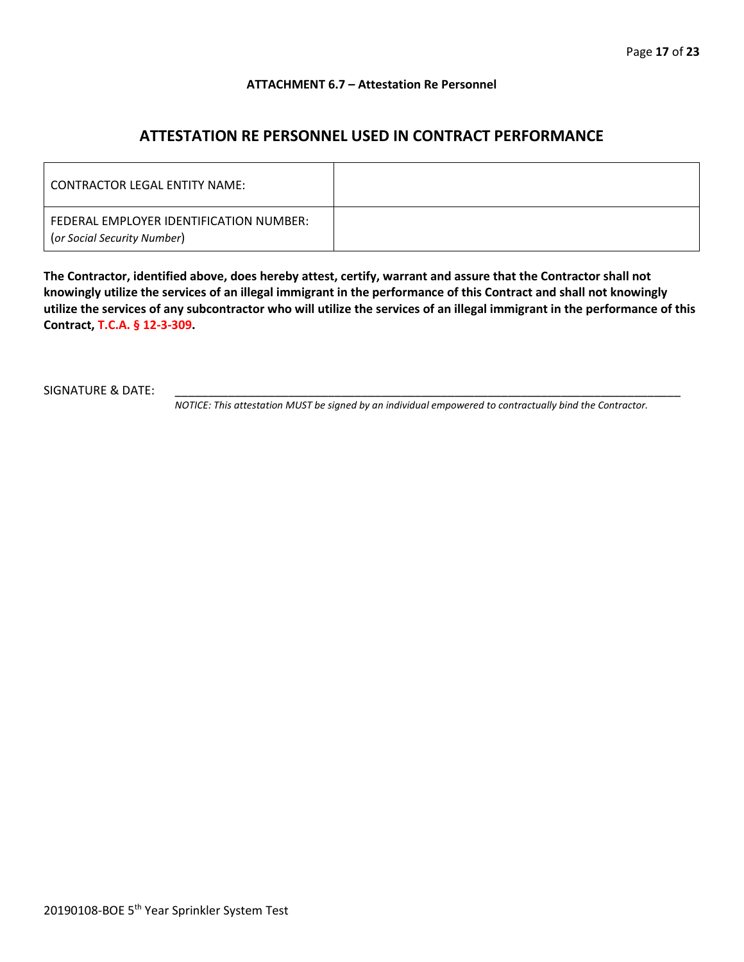#### **ATTACHMENT 6.7 – Attestation Re Personnel**

# **ATTESTATION RE PERSONNEL USED IN CONTRACT PERFORMANCE**

| CONTRACTOR LEGAL ENTITY NAME:                                          |  |
|------------------------------------------------------------------------|--|
| FEDERAL EMPLOYER IDENTIFICATION NUMBER:<br>(or Social Security Number) |  |

**The Contractor, identified above, does hereby attest, certify, warrant and assure that the Contractor shall not knowingly utilize the services of an illegal immigrant in the performance of this Contract and shall not knowingly utilize the services of any subcontractor who will utilize the services of an illegal immigrant in the performance of this Contract, T.C.A. § 12-3-309.**

SIGNATURE & DATE:

*NOTICE: This attestation MUST be signed by an individual empowered to contractually bind the Contractor.*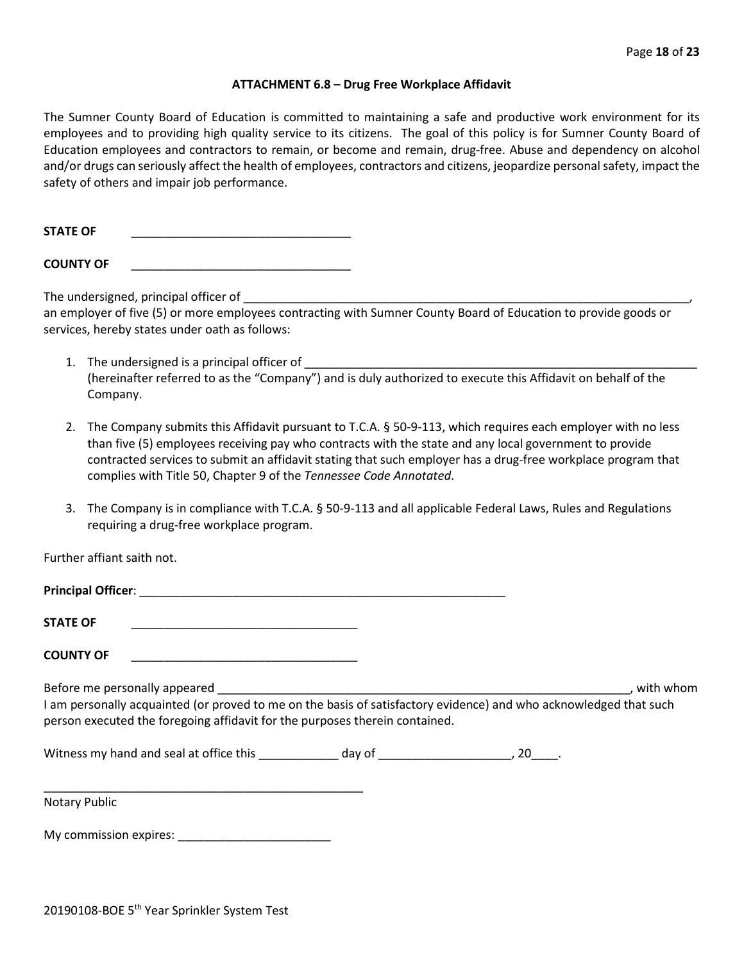#### **ATTACHMENT 6.8 – Drug Free Workplace Affidavit**

The Sumner County Board of Education is committed to maintaining a safe and productive work environment for its employees and to providing high quality service to its citizens. The goal of this policy is for Sumner County Board of Education employees and contractors to remain, or become and remain, drug-free. Abuse and dependency on alcohol and/or drugs can seriously affect the health of employees, contractors and citizens, jeopardize personal safety, impact the safety of others and impair job performance.

**STATE OF** \_\_\_\_\_\_\_\_\_\_\_\_\_\_\_\_\_\_\_\_\_\_\_\_\_\_\_\_\_\_\_\_\_

**COUNTY OF** \_\_\_\_\_\_\_\_\_\_\_\_\_\_\_\_\_\_\_\_\_\_\_\_\_\_\_\_\_\_\_\_\_

The undersigned, principal officer of

an employer of five (5) or more employees contracting with Sumner County Board of Education to provide goods or services, hereby states under oath as follows:

- 1. The undersigned is a principal officer of (hereinafter referred to as the "Company") and is duly authorized to execute this Affidavit on behalf of the Company.
- 2. The Company submits this Affidavit pursuant to T.C.A. § 50-9-113, which requires each employer with no less than five (5) employees receiving pay who contracts with the state and any local government to provide contracted services to submit an affidavit stating that such employer has a drug-free workplace program that complies with Title 50, Chapter 9 of the *Tennessee Code Annotated*.
- 3. The Company is in compliance with T.C.A. § 50-9-113 and all applicable Federal Laws, Rules and Regulations requiring a drug-free workplace program.

Further affiant saith not.

| Principal Officer: New York Principal Officer:                                                                                                                                                   |  |           |
|--------------------------------------------------------------------------------------------------------------------------------------------------------------------------------------------------|--|-----------|
| <b>STATE OF</b>                                                                                                                                                                                  |  |           |
| <b>COUNTY OF</b>                                                                                                                                                                                 |  |           |
| Before me personally appeared                                                                                                                                                                    |  | with whom |
| I am personally acquainted (or proved to me on the basis of satisfactory evidence) and who acknowledged that such<br>person executed the foregoing affidavit for the purposes therein contained. |  |           |
|                                                                                                                                                                                                  |  |           |
| Notary Public                                                                                                                                                                                    |  |           |

My commission expires: \_\_\_\_\_\_\_\_\_\_\_\_\_\_\_\_\_\_\_\_\_\_\_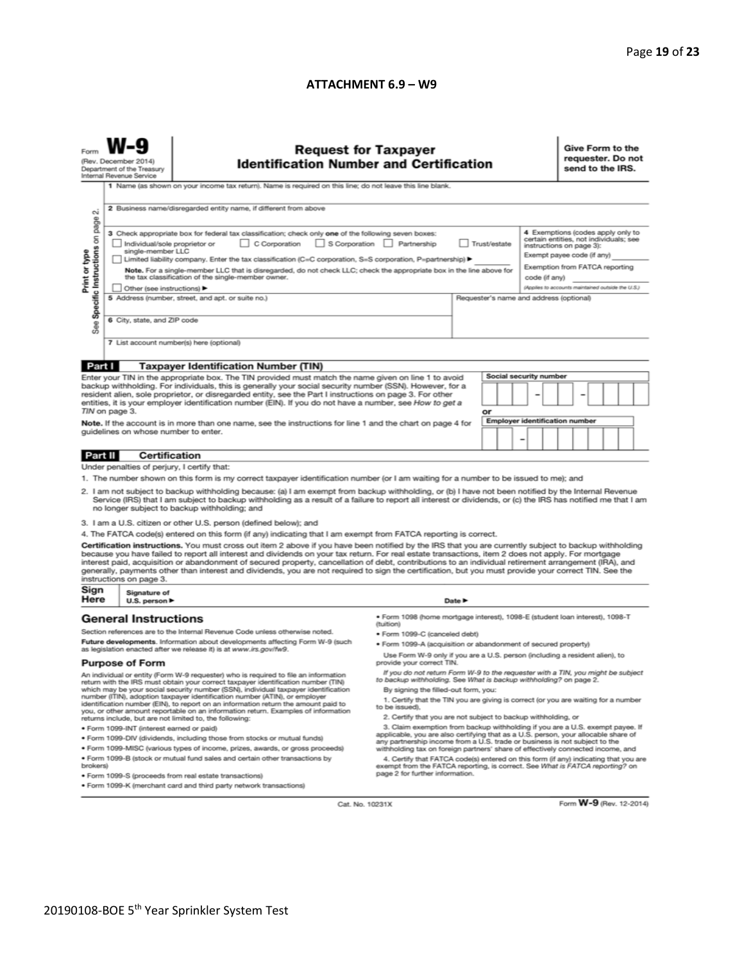## **ATTACHMENT 6.9 – W9**

|                                                                                                                                                                                                                                                                                                                                                                                                                                                                                                                                                                                                                                                                                                                                                                                                                                                                                                                                                                                                                                                                                                                                                                                                                                                                                                                                                                                    | <b>Request for Taxpayer</b><br><b>Identification Number and Certification</b><br>(Rev. December 2014)<br>Department of the Treasury<br>Internal Revenue Service<br>1 Name (as shown on your income tax return). Name is required on this line; do not leave this line blank. |                                                                                                                                                                                                                                                                                                                                                                                                                                                                                                                                                                                                                                                                                                                                                                                                                                                                                                                                                                                                                                                                                                                                                                                                  |  |        |  |                                                                                                                                                                                                                              |  | Give Form to the<br>requester. Do not<br>send to the IRS. |  |  |  |  |
|------------------------------------------------------------------------------------------------------------------------------------------------------------------------------------------------------------------------------------------------------------------------------------------------------------------------------------------------------------------------------------------------------------------------------------------------------------------------------------------------------------------------------------------------------------------------------------------------------------------------------------------------------------------------------------------------------------------------------------------------------------------------------------------------------------------------------------------------------------------------------------------------------------------------------------------------------------------------------------------------------------------------------------------------------------------------------------------------------------------------------------------------------------------------------------------------------------------------------------------------------------------------------------------------------------------------------------------------------------------------------------|------------------------------------------------------------------------------------------------------------------------------------------------------------------------------------------------------------------------------------------------------------------------------|--------------------------------------------------------------------------------------------------------------------------------------------------------------------------------------------------------------------------------------------------------------------------------------------------------------------------------------------------------------------------------------------------------------------------------------------------------------------------------------------------------------------------------------------------------------------------------------------------------------------------------------------------------------------------------------------------------------------------------------------------------------------------------------------------------------------------------------------------------------------------------------------------------------------------------------------------------------------------------------------------------------------------------------------------------------------------------------------------------------------------------------------------------------------------------------------------|--|--------|--|------------------------------------------------------------------------------------------------------------------------------------------------------------------------------------------------------------------------------|--|-----------------------------------------------------------|--|--|--|--|
| 2 Business name/disregarded entity name, if different from above<br>$\sim$<br>page<br>3 Check appropriate box for federal tax classification; check only one of the following seven boxes:<br>Specific Instructions on<br>C Corporation S Corporation Partnership<br>Trust/estate<br>Individual/sole proprietor or<br>Print or type<br>single-member LLC<br>Limited liability company. Enter the tax classification (C=C corporation, S=S corporation, P=partnership) ▶<br>Note. For a single-member LLC that is disregarded, do not check LLC; check the appropriate box in the line above for<br>the tax classification of the single-member owner.<br>code (if any)<br>Other (see instructions) ▶<br>5 Address (number, street, and apt. or suite no.)<br>Requester's name and address (optional)<br>6 City, state, and ZIP code<br>æ<br>αñ<br>7 List account number(s) here (optional)                                                                                                                                                                                                                                                                                                                                                                                                                                                                                         |                                                                                                                                                                                                                                                                              |                                                                                                                                                                                                                                                                                                                                                                                                                                                                                                                                                                                                                                                                                                                                                                                                                                                                                                                                                                                                                                                                                                                                                                                                  |  |        |  | 4 Exemptions (codes apply only to<br>certain entities, not individuals; see<br>instructions on page 3):<br>Exempt payee code (if any)<br>Exemption from FATCA reporting<br>(Applies to accounts maintained outside the U.S.) |  |                                                           |  |  |  |  |
|                                                                                                                                                                                                                                                                                                                                                                                                                                                                                                                                                                                                                                                                                                                                                                                                                                                                                                                                                                                                                                                                                                                                                                                                                                                                                                                                                                                    |                                                                                                                                                                                                                                                                              |                                                                                                                                                                                                                                                                                                                                                                                                                                                                                                                                                                                                                                                                                                                                                                                                                                                                                                                                                                                                                                                                                                                                                                                                  |  |        |  |                                                                                                                                                                                                                              |  |                                                           |  |  |  |  |
| Part I<br><b>Taxpayer Identification Number (TIN)</b><br><b>Social security number</b><br>Enter your TIN in the appropriate box. The TIN provided must match the name given on line 1 to avoid<br>backup withholding. For individuals, this is generally your social security number (SSN). However, for a<br>resident alien, sole proprietor, or disregarded entity, see the Part I instructions on page 3. For other<br>entities, it is your employer identification number (EIN). If you do not have a number, see How to get a<br>TIN on page 3.<br>or<br><b>Employer identification number</b><br>Note. If the account is in more than one name, see the instructions for line 1 and the chart on page 4 for<br>guidelines on whose number to enter.<br>-                                                                                                                                                                                                                                                                                                                                                                                                                                                                                                                                                                                                                     |                                                                                                                                                                                                                                                                              |                                                                                                                                                                                                                                                                                                                                                                                                                                                                                                                                                                                                                                                                                                                                                                                                                                                                                                                                                                                                                                                                                                                                                                                                  |  |        |  |                                                                                                                                                                                                                              |  |                                                           |  |  |  |  |
| Part II                                                                                                                                                                                                                                                                                                                                                                                                                                                                                                                                                                                                                                                                                                                                                                                                                                                                                                                                                                                                                                                                                                                                                                                                                                                                                                                                                                            | <b>Certification</b>                                                                                                                                                                                                                                                         |                                                                                                                                                                                                                                                                                                                                                                                                                                                                                                                                                                                                                                                                                                                                                                                                                                                                                                                                                                                                                                                                                                                                                                                                  |  |        |  |                                                                                                                                                                                                                              |  |                                                           |  |  |  |  |
| Under penalties of perjury, I certify that:<br>1. The number shown on this form is my correct taxpayer identification number (or I am waiting for a number to be issued to me); and<br>2. I am not subject to backup withholding because: (a) I am exempt from backup withholding, or (b) I have not been notified by the Internal Revenue<br>Service (IRS) that I am subject to backup withholding as a result of a failure to report all interest or dividends, or (c) the IRS has notified me that I am<br>no longer subject to backup withholding; and<br>3. I am a U.S. citizen or other U.S. person (defined below); and<br>4. The FATCA code(s) entered on this form (if any) indicating that I am exempt from FATCA reporting is correct.<br>Certification instructions. You must cross out item 2 above if you have been notified by the IRS that you are currently subject to backup withholding<br>because you have failed to report all interest and dividends on your tax return. For real estate transactions, item 2 does not apply. For mortgage<br>interest paid, acquisition or abandonment of secured property, cancellation of debt, contributions to an individual retirement arrangement (IRA), and<br>generally, payments other than interest and dividends, you are not required to sign the certification, but you must provide your correct TIN. See the |                                                                                                                                                                                                                                                                              |                                                                                                                                                                                                                                                                                                                                                                                                                                                                                                                                                                                                                                                                                                                                                                                                                                                                                                                                                                                                                                                                                                                                                                                                  |  |        |  |                                                                                                                                                                                                                              |  |                                                           |  |  |  |  |
|                                                                                                                                                                                                                                                                                                                                                                                                                                                                                                                                                                                                                                                                                                                                                                                                                                                                                                                                                                                                                                                                                                                                                                                                                                                                                                                                                                                    | instructions on page 3.                                                                                                                                                                                                                                                      |                                                                                                                                                                                                                                                                                                                                                                                                                                                                                                                                                                                                                                                                                                                                                                                                                                                                                                                                                                                                                                                                                                                                                                                                  |  |        |  |                                                                                                                                                                                                                              |  |                                                           |  |  |  |  |
| Sign<br>Here                                                                                                                                                                                                                                                                                                                                                                                                                                                                                                                                                                                                                                                                                                                                                                                                                                                                                                                                                                                                                                                                                                                                                                                                                                                                                                                                                                       | Signature of<br>U.S. person $\blacktriangleright$                                                                                                                                                                                                                            |                                                                                                                                                                                                                                                                                                                                                                                                                                                                                                                                                                                                                                                                                                                                                                                                                                                                                                                                                                                                                                                                                                                                                                                                  |  | Date P |  |                                                                                                                                                                                                                              |  |                                                           |  |  |  |  |
| <b>General Instructions</b><br>Section references are to the Internal Revenue Code unless otherwise noted.<br>Future developments. Information about developments affecting Form W-9 (such<br>as legislation enacted after we release it) is at www.irs.gov/fw9.<br><b>Purpose of Form</b><br>An individual or entity (Form W-9 requester) who is required to file an information<br>return with the IRS must obtain your correct taxpayer identification number (TIN)<br>which may be your social security number (SSN), individual taxpayer identification<br>number (ITIN), adoption taxpayer identification number (ATIN), or employer<br>identification number (EIN), to report on an information return the amount paid to<br>you, or other amount reportable on an information return. Examples of information<br>returns include, but are not limited to, the following:<br>· Form 1099-INT (interest earned or paid)<br>. Form 1099-DIV (dividends, including those from stocks or mutual funds)<br>* Form 1099-MISC (various types of income, prizes, awards, or gross proceeds)<br>. Form 1099-B (stock or mutual fund sales and certain other transactions by<br>brokers)                                                                                                                                                                                              |                                                                                                                                                                                                                                                                              | · Form 1098 (home mortgage interest), 1098-E (student loan interest), 1098-T<br>(tuition)<br>· Form 1099-C (canceled debt)<br>· Form 1099-A (acquisition or abandonment of secured property)<br>Use Form W-9 only if you are a U.S. person (including a resident alien), to<br>provide your correct TIN.<br>If you do not return Form W-9 to the requester with a TIN, you might be subject<br>to backup withholding. See What is backup withholding? on page 2.<br>By signing the filled-out form, you:<br>1. Certify that the TIN you are giving is correct (or you are waiting for a number<br>to be issued).<br>2. Certify that you are not subject to backup withholding, or<br>3. Claim exemption from backup withholding if you are a U.S. exempt payee. If<br>applicable, you are also certifying that as a U.S. person, your allocable share of<br>any partnership income from a U.S. trade or business is not subject to the<br>withholding tax on foreign partners' share of effectively connected income, and<br>4. Certify that FATCA code(s) entered on this form (if any) indicating that you are<br>exempt from the FATCA reporting, is correct. See What is FATCA reporting? on |  |        |  |                                                                                                                                                                                                                              |  |                                                           |  |  |  |  |
| page 2 for further information.<br>· Form 1099-S (proceeds from real estate transactions)<br>. Form 1099-K (merchant card and third party network transactions)                                                                                                                                                                                                                                                                                                                                                                                                                                                                                                                                                                                                                                                                                                                                                                                                                                                                                                                                                                                                                                                                                                                                                                                                                    |                                                                                                                                                                                                                                                                              |                                                                                                                                                                                                                                                                                                                                                                                                                                                                                                                                                                                                                                                                                                                                                                                                                                                                                                                                                                                                                                                                                                                                                                                                  |  |        |  |                                                                                                                                                                                                                              |  |                                                           |  |  |  |  |

Cat. No. 10231X

Form **W-9** (Rev. 12-2014)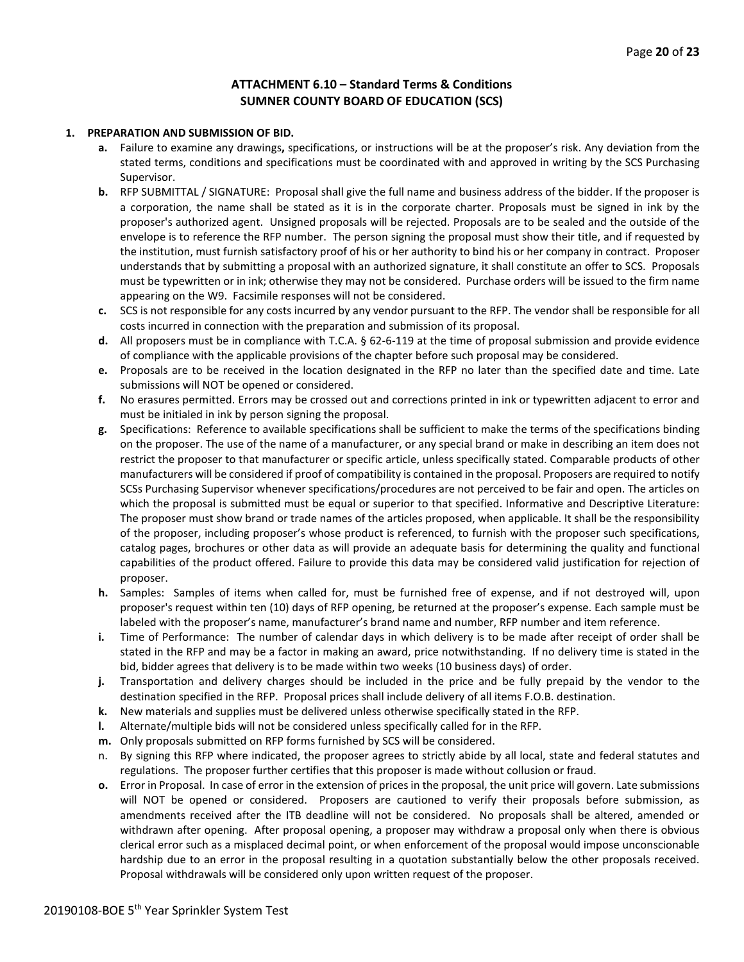### **ATTACHMENT 6.10 – Standard Terms & Conditions SUMNER COUNTY BOARD OF EDUCATION (SCS)**

#### **1. PREPARATION AND SUBMISSION OF BID.**

- **a.** Failure to examine any drawings**,** specifications, or instructions will be at the proposer's risk. Any deviation from the stated terms, conditions and specifications must be coordinated with and approved in writing by the SCS Purchasing Supervisor.
- **b.** RFP SUBMITTAL / SIGNATURE: Proposal shall give the full name and business address of the bidder. If the proposer is a corporation, the name shall be stated as it is in the corporate charter. Proposals must be signed in ink by the proposer's authorized agent. Unsigned proposals will be rejected. Proposals are to be sealed and the outside of the envelope is to reference the RFP number. The person signing the proposal must show their title, and if requested by the institution, must furnish satisfactory proof of his or her authority to bind his or her company in contract. Proposer understands that by submitting a proposal with an authorized signature, it shall constitute an offer to SCS. Proposals must be typewritten or in ink; otherwise they may not be considered. Purchase orders will be issued to the firm name appearing on the W9. Facsimile responses will not be considered.
- **c.** SCS is not responsible for any costs incurred by any vendor pursuant to the RFP. The vendor shall be responsible for all costs incurred in connection with the preparation and submission of its proposal.
- **d.** All proposers must be in compliance with T.C.A. § 62-6-119 at the time of proposal submission and provide evidence of compliance with the applicable provisions of the chapter before such proposal may be considered.
- **e.** Proposals are to be received in the location designated in the RFP no later than the specified date and time. Late submissions will NOT be opened or considered.
- **f.** No erasures permitted. Errors may be crossed out and corrections printed in ink or typewritten adjacent to error and must be initialed in ink by person signing the proposal.
- **g.** Specifications: Reference to available specifications shall be sufficient to make the terms of the specifications binding on the proposer. The use of the name of a manufacturer, or any special brand or make in describing an item does not restrict the proposer to that manufacturer or specific article, unless specifically stated. Comparable products of other manufacturers will be considered if proof of compatibility is contained in the proposal. Proposers are required to notify SCSs Purchasing Supervisor whenever specifications/procedures are not perceived to be fair and open. The articles on which the proposal is submitted must be equal or superior to that specified. Informative and Descriptive Literature: The proposer must show brand or trade names of the articles proposed, when applicable. It shall be the responsibility of the proposer, including proposer's whose product is referenced, to furnish with the proposer such specifications, catalog pages, brochures or other data as will provide an adequate basis for determining the quality and functional capabilities of the product offered. Failure to provide this data may be considered valid justification for rejection of proposer.
- **h.** Samples: Samples of items when called for, must be furnished free of expense, and if not destroyed will, upon proposer's request within ten (10) days of RFP opening, be returned at the proposer's expense. Each sample must be labeled with the proposer's name, manufacturer's brand name and number, RFP number and item reference.
- **i.** Time of Performance: The number of calendar days in which delivery is to be made after receipt of order shall be stated in the RFP and may be a factor in making an award, price notwithstanding. If no delivery time is stated in the bid, bidder agrees that delivery is to be made within two weeks (10 business days) of order.
- **j.** Transportation and delivery charges should be included in the price and be fully prepaid by the vendor to the destination specified in the RFP. Proposal prices shall include delivery of all items F.O.B. destination.
- **k.** New materials and supplies must be delivered unless otherwise specifically stated in the RFP.
- **l.** Alternate/multiple bids will not be considered unless specifically called for in the RFP.
- **m.** Only proposals submitted on RFP forms furnished by SCS will be considered.
- n. By signing this RFP where indicated, the proposer agrees to strictly abide by all local, state and federal statutes and regulations. The proposer further certifies that this proposer is made without collusion or fraud.
- **o.** Error in Proposal. In case of error in the extension of prices in the proposal, the unit price will govern. Late submissions will NOT be opened or considered. Proposers are cautioned to verify their proposals before submission, as amendments received after the ITB deadline will not be considered. No proposals shall be altered, amended or withdrawn after opening. After proposal opening, a proposer may withdraw a proposal only when there is obvious clerical error such as a misplaced decimal point, or when enforcement of the proposal would impose unconscionable hardship due to an error in the proposal resulting in a quotation substantially below the other proposals received. Proposal withdrawals will be considered only upon written request of the proposer.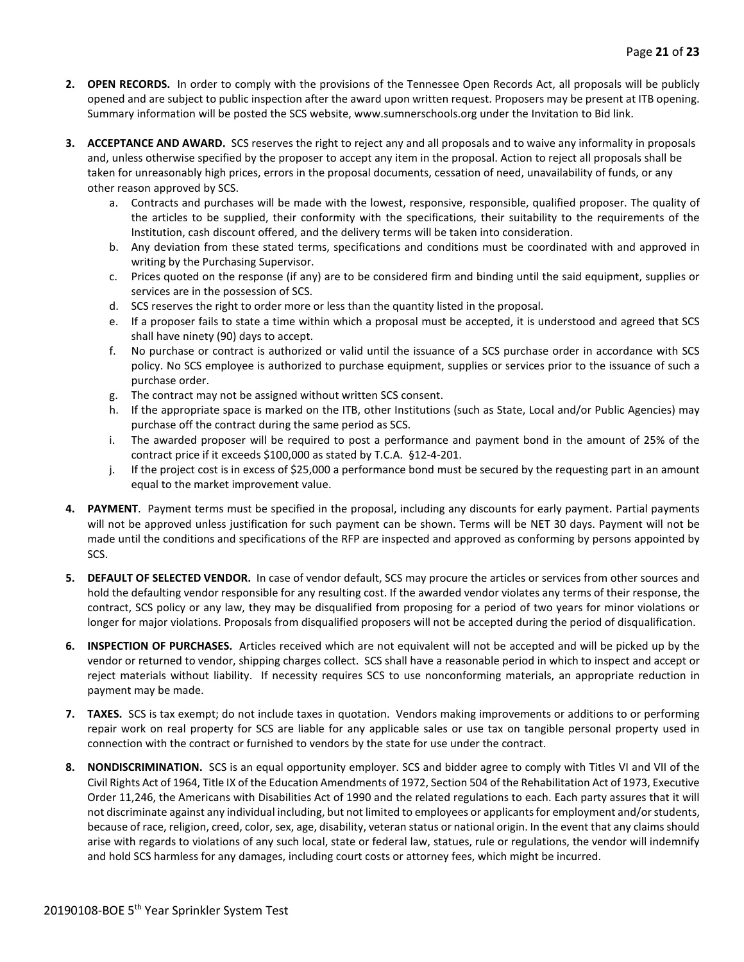- **2. OPEN RECORDS.** In order to comply with the provisions of the Tennessee Open Records Act, all proposals will be publicly opened and are subject to public inspection after the award upon written request. Proposers may be present at ITB opening. Summary information will be posted the SCS website, www.sumnerschools.org under the Invitation to Bid link.
- **3. ACCEPTANCE AND AWARD.** SCS reserves the right to reject any and all proposals and to waive any informality in proposals and, unless otherwise specified by the proposer to accept any item in the proposal. Action to reject all proposals shall be taken for unreasonably high prices, errors in the proposal documents, cessation of need, unavailability of funds, or any other reason approved by SCS.
	- a. Contracts and purchases will be made with the lowest, responsive, responsible, qualified proposer. The quality of the articles to be supplied, their conformity with the specifications, their suitability to the requirements of the Institution, cash discount offered, and the delivery terms will be taken into consideration.
	- b. Any deviation from these stated terms, specifications and conditions must be coordinated with and approved in writing by the Purchasing Supervisor.
	- c. Prices quoted on the response (if any) are to be considered firm and binding until the said equipment, supplies or services are in the possession of SCS.
	- d. SCS reserves the right to order more or less than the quantity listed in the proposal.
	- e. If a proposer fails to state a time within which a proposal must be accepted, it is understood and agreed that SCS shall have ninety (90) days to accept.
	- f. No purchase or contract is authorized or valid until the issuance of a SCS purchase order in accordance with SCS policy. No SCS employee is authorized to purchase equipment, supplies or services prior to the issuance of such a purchase order.
	- g. The contract may not be assigned without written SCS consent.
	- h. If the appropriate space is marked on the ITB, other Institutions (such as State, Local and/or Public Agencies) may purchase off the contract during the same period as SCS.
	- i. The awarded proposer will be required to post a performance and payment bond in the amount of 25% of the contract price if it exceeds \$100,000 as stated by T.C.A. §12-4-201.
	- j. If the project cost is in excess of \$25,000 a performance bond must be secured by the requesting part in an amount equal to the market improvement value.
- **4. PAYMENT**. Payment terms must be specified in the proposal, including any discounts for early payment. Partial payments will not be approved unless justification for such payment can be shown. Terms will be NET 30 days. Payment will not be made until the conditions and specifications of the RFP are inspected and approved as conforming by persons appointed by SCS.
- **5. DEFAULT OF SELECTED VENDOR.** In case of vendor default, SCS may procure the articles or services from other sources and hold the defaulting vendor responsible for any resulting cost. If the awarded vendor violates any terms of their response, the contract, SCS policy or any law, they may be disqualified from proposing for a period of two years for minor violations or longer for major violations. Proposals from disqualified proposers will not be accepted during the period of disqualification.
- **6. INSPECTION OF PURCHASES.** Articles received which are not equivalent will not be accepted and will be picked up by the vendor or returned to vendor, shipping charges collect. SCS shall have a reasonable period in which to inspect and accept or reject materials without liability. If necessity requires SCS to use nonconforming materials, an appropriate reduction in payment may be made.
- **7. TAXES.** SCS is tax exempt; do not include taxes in quotation. Vendors making improvements or additions to or performing repair work on real property for SCS are liable for any applicable sales or use tax on tangible personal property used in connection with the contract or furnished to vendors by the state for use under the contract.
- **8. NONDISCRIMINATION.** SCS is an equal opportunity employer. SCS and bidder agree to comply with Titles VI and VII of the Civil Rights Act of 1964, Title IX of the Education Amendments of 1972, Section 504 of the Rehabilitation Act of 1973, Executive Order 11,246, the Americans with Disabilities Act of 1990 and the related regulations to each. Each party assures that it will not discriminate against any individual including, but not limited to employees or applicants for employment and/or students, because of race, religion, creed, color, sex, age, disability, veteran status or national origin. In the event that any claims should arise with regards to violations of any such local, state or federal law, statues, rule or regulations, the vendor will indemnify and hold SCS harmless for any damages, including court costs or attorney fees, which might be incurred.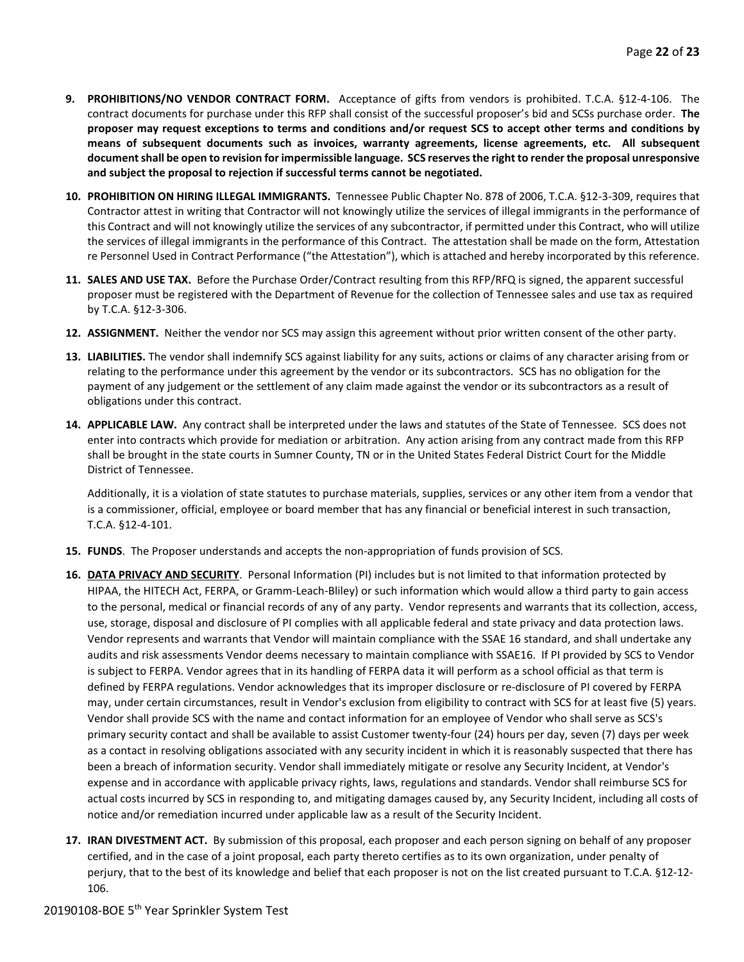- **9. PROHIBITIONS/NO VENDOR CONTRACT FORM.** Acceptance of gifts from vendors is prohibited. T.C.A. §12-4-106. The contract documents for purchase under this RFP shall consist of the successful proposer's bid and SCSs purchase order. **The proposer may request exceptions to terms and conditions and/or request SCS to accept other terms and conditions by means of subsequent documents such as invoices, warranty agreements, license agreements, etc. All subsequent document shall be open to revision for impermissible language. SCS reserves the right to render the proposal unresponsive and subject the proposal to rejection if successful terms cannot be negotiated.**
- **10. PROHIBITION ON HIRING ILLEGAL IMMIGRANTS.** Tennessee Public Chapter No. 878 of 2006, T.C.A. §12-3-309, requires that Contractor attest in writing that Contractor will not knowingly utilize the services of illegal immigrants in the performance of this Contract and will not knowingly utilize the services of any subcontractor, if permitted under this Contract, who will utilize the services of illegal immigrants in the performance of this Contract. The attestation shall be made on the form, Attestation re Personnel Used in Contract Performance ("the Attestation"), which is attached and hereby incorporated by this reference.
- **11. SALES AND USE TAX.** Before the Purchase Order/Contract resulting from this RFP/RFQ is signed, the apparent successful proposer must be registered with the Department of Revenue for the collection of Tennessee sales and use tax as required by T.C.A. §12-3-306.
- **12. ASSIGNMENT.** Neither the vendor nor SCS may assign this agreement without prior written consent of the other party.
- **13. LIABILITIES.** The vendor shall indemnify SCS against liability for any suits, actions or claims of any character arising from or relating to the performance under this agreement by the vendor or its subcontractors. SCS has no obligation for the payment of any judgement or the settlement of any claim made against the vendor or its subcontractors as a result of obligations under this contract.
- **14. APPLICABLE LAW.** Any contract shall be interpreted under the laws and statutes of the State of Tennessee. SCS does not enter into contracts which provide for mediation or arbitration. Any action arising from any contract made from this RFP shall be brought in the state courts in Sumner County, TN or in the United States Federal District Court for the Middle District of Tennessee.

Additionally, it is a violation of state statutes to purchase materials, supplies, services or any other item from a vendor that is a commissioner, official, employee or board member that has any financial or beneficial interest in such transaction, T.C.A. §12-4-101.

- **15. FUNDS**. The Proposer understands and accepts the non-appropriation of funds provision of SCS.
- **16. DATA PRIVACY AND SECURITY**. Personal Information (PI) includes but is not limited to that information protected by HIPAA, the HITECH Act, FERPA, or Gramm-Leach-Bliley) or such information which would allow a third party to gain access to the personal, medical or financial records of any of any party. Vendor represents and warrants that its collection, access, use, storage, disposal and disclosure of PI complies with all applicable federal and state privacy and data protection laws. Vendor represents and warrants that Vendor will maintain compliance with the SSAE 16 standard, and shall undertake any audits and risk assessments Vendor deems necessary to maintain compliance with SSAE16. If PI provided by SCS to Vendor is subject to FERPA. Vendor agrees that in its handling of FERPA data it will perform as a school official as that term is defined by FERPA regulations. Vendor acknowledges that its improper disclosure or re-disclosure of PI covered by FERPA may, under certain circumstances, result in Vendor's exclusion from eligibility to contract with SCS for at least five (5) years. Vendor shall provide SCS with the name and contact information for an employee of Vendor who shall serve as SCS's primary security contact and shall be available to assist Customer twenty-four (24) hours per day, seven (7) days per week as a contact in resolving obligations associated with any security incident in which it is reasonably suspected that there has been a breach of information security. Vendor shall immediately mitigate or resolve any Security Incident, at Vendor's expense and in accordance with applicable privacy rights, laws, regulations and standards. Vendor shall reimburse SCS for actual costs incurred by SCS in responding to, and mitigating damages caused by, any Security Incident, including all costs of notice and/or remediation incurred under applicable law as a result of the Security Incident.
- **17. IRAN DIVESTMENT ACT.** By submission of this proposal, each proposer and each person signing on behalf of any proposer certified, and in the case of a joint proposal, each party thereto certifies as to its own organization, under penalty of perjury, that to the best of its knowledge and belief that each proposer is not on the list created pursuant to T.C.A. §12-12- 106.